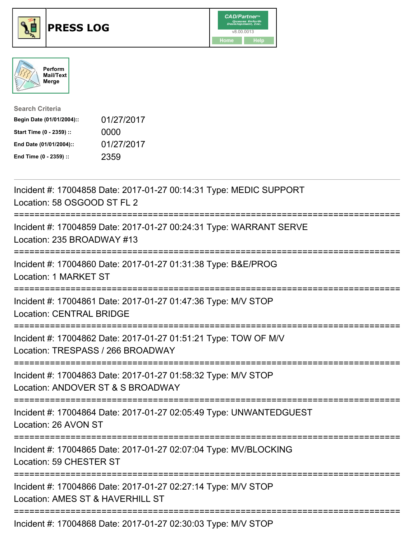

## **PRESS LOG** v8.00.0013





| <b>Search Criteria</b>    |            |
|---------------------------|------------|
| Begin Date (01/01/2004):: | 01/27/2017 |
| Start Time (0 - 2359) ::  | 0000       |
| End Date (01/01/2004)::   | 01/27/2017 |
| End Time (0 - 2359) ::    | 2359       |

Incident #: 17004858 Date: 2017-01-27 00:14:31 Type: MEDIC SUPPORT Location: 58 OSGOOD ST FL 2 =========================================================================== Incident #: 17004859 Date: 2017-01-27 00:24:31 Type: WARRANT SERVE Location: 235 BROADWAY #13 =========================================================================== Incident #: 17004860 Date: 2017-01-27 01:31:38 Type: B&E/PROG Location: 1 MARKET ST =========================================================================== Incident #: 17004861 Date: 2017-01-27 01:47:36 Type: M/V STOP Location: CENTRAL BRIDGE =========================================================================== Incident #: 17004862 Date: 2017-01-27 01:51:21 Type: TOW OF M/V Location: TRESPASS / 266 BROADWAY =========================================================================== Incident #: 17004863 Date: 2017-01-27 01:58:32 Type: M/V STOP Location: ANDOVER ST & S BROADWAY =========================================================================== Incident #: 17004864 Date: 2017-01-27 02:05:49 Type: UNWANTEDGUEST Location: 26 AVON ST =========================================================================== Incident #: 17004865 Date: 2017-01-27 02:07:04 Type: MV/BLOCKING Location: 59 CHESTER ST =========================================================================== Incident #: 17004866 Date: 2017-01-27 02:27:14 Type: M/V STOP Location: AMES ST & HAVERHILL ST =========================================================================== Incident #: 17004868 Date: 2017-01-27 02:30:03 Type: M/V STOP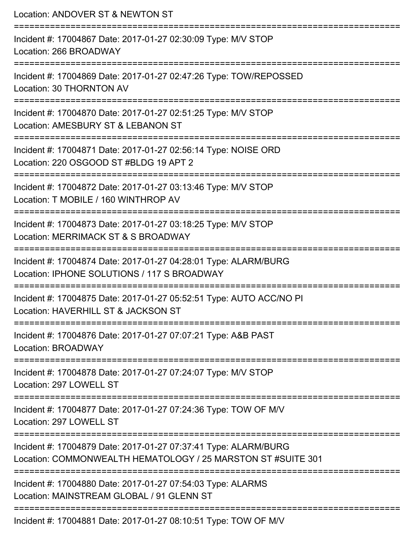| Location: ANDOVER ST & NEWTON ST                                                                                                |
|---------------------------------------------------------------------------------------------------------------------------------|
| Incident #: 17004867 Date: 2017-01-27 02:30:09 Type: M/V STOP<br>Location: 266 BROADWAY                                         |
| Incident #: 17004869 Date: 2017-01-27 02:47:26 Type: TOW/REPOSSED<br>Location: 30 THORNTON AV                                   |
| Incident #: 17004870 Date: 2017-01-27 02:51:25 Type: M/V STOP<br>Location: AMESBURY ST & LEBANON ST                             |
| Incident #: 17004871 Date: 2017-01-27 02:56:14 Type: NOISE ORD<br>Location: 220 OSGOOD ST #BLDG 19 APT 2                        |
| Incident #: 17004872 Date: 2017-01-27 03:13:46 Type: M/V STOP<br>Location: T MOBILE / 160 WINTHROP AV                           |
| Incident #: 17004873 Date: 2017-01-27 03:18:25 Type: M/V STOP<br>Location: MERRIMACK ST & S BROADWAY                            |
| Incident #: 17004874 Date: 2017-01-27 04:28:01 Type: ALARM/BURG<br>Location: IPHONE SOLUTIONS / 117 S BROADWAY                  |
| Incident #: 17004875 Date: 2017-01-27 05:52:51 Type: AUTO ACC/NO PI<br>Location: HAVERHILL ST & JACKSON ST                      |
| Incident #: 17004876 Date: 2017-01-27 07:07:21 Type: A&B PAST<br>Location: BROADWAY                                             |
| Incident #: 17004878 Date: 2017-01-27 07:24:07 Type: M/V STOP<br>Location: 297 LOWELL ST                                        |
| Incident #: 17004877 Date: 2017-01-27 07:24:36 Type: TOW OF M/V<br>Location: 297 LOWELL ST                                      |
| Incident #: 17004879 Date: 2017-01-27 07:37:41 Type: ALARM/BURG<br>Location: COMMONWEALTH HEMATOLOGY / 25 MARSTON ST #SUITE 301 |
| Incident #: 17004880 Date: 2017-01-27 07:54:03 Type: ALARMS<br>Location: MAINSTREAM GLOBAL / 91 GLENN ST                        |
| $Incidant # 17001001$ $Doto: 2017.01.27 00.10:51$ $Tvno: T0111$ $\cap$ $F111$                                                   |

Incident #: 17004881 Date: 2017-01-27 08:10:51 Type: TOW OF M/V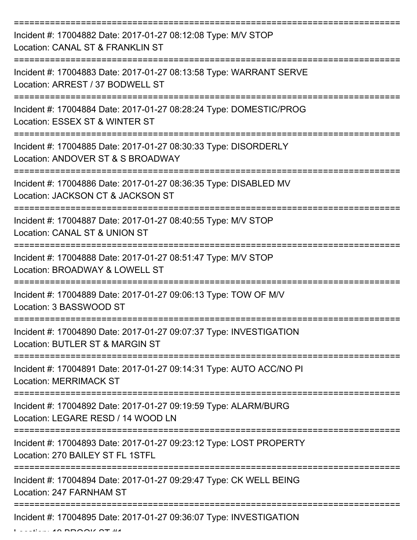| Incident #: 17004882 Date: 2017-01-27 08:12:08 Type: M/V STOP<br>Location: CANAL ST & FRANKLIN ST                              |
|--------------------------------------------------------------------------------------------------------------------------------|
| Incident #: 17004883 Date: 2017-01-27 08:13:58 Type: WARRANT SERVE<br>Location: ARREST / 37 BODWELL ST                         |
| Incident #: 17004884 Date: 2017-01-27 08:28:24 Type: DOMESTIC/PROG<br>Location: ESSEX ST & WINTER ST                           |
| Incident #: 17004885 Date: 2017-01-27 08:30:33 Type: DISORDERLY<br>Location: ANDOVER ST & S BROADWAY                           |
| Incident #: 17004886 Date: 2017-01-27 08:36:35 Type: DISABLED MV<br>Location: JACKSON CT & JACKSON ST<br>===================== |
| Incident #: 17004887 Date: 2017-01-27 08:40:55 Type: M/V STOP<br>Location: CANAL ST & UNION ST                                 |
| Incident #: 17004888 Date: 2017-01-27 08:51:47 Type: M/V STOP<br>Location: BROADWAY & LOWELL ST                                |
| Incident #: 17004889 Date: 2017-01-27 09:06:13 Type: TOW OF M/V<br>Location: 3 BASSWOOD ST                                     |
| Incident #: 17004890 Date: 2017-01-27 09:07:37 Type: INVESTIGATION<br>Location: BUTLER ST & MARGIN ST                          |
| Incident #: 17004891 Date: 2017-01-27 09:14:31 Type: AUTO ACC/NO PI<br><b>Location: MERRIMACK ST</b>                           |
| =====================<br>Incident #: 17004892 Date: 2017-01-27 09:19:59 Type: ALARM/BURG<br>Location: LEGARE RESD / 14 WOOD LN |
| Incident #: 17004893 Date: 2017-01-27 09:23:12 Type: LOST PROPERTY<br>Location: 270 BAILEY ST FL 1STFL                         |
| Incident #: 17004894 Date: 2017-01-27 09:29:47 Type: CK WELL BEING<br>Location: 247 FARNHAM ST                                 |
| Incident #: 17004895 Date: 2017-01-27 09:36:07 Type: INVESTIGATION                                                             |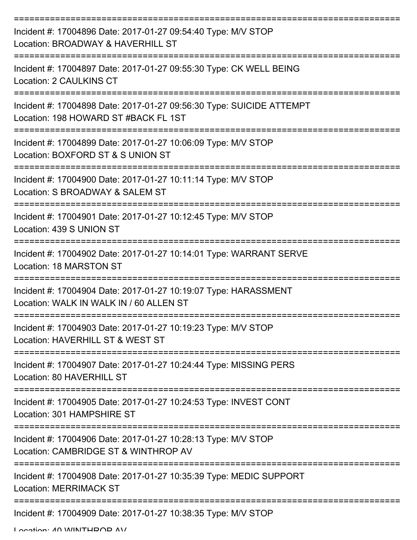| Incident #: 17004896 Date: 2017-01-27 09:54:40 Type: M/V STOP<br>Location: BROADWAY & HAVERHILL ST           |
|--------------------------------------------------------------------------------------------------------------|
| Incident #: 17004897 Date: 2017-01-27 09:55:30 Type: CK WELL BEING<br>Location: 2 CAULKINS CT                |
| Incident #: 17004898 Date: 2017-01-27 09:56:30 Type: SUICIDE ATTEMPT<br>Location: 198 HOWARD ST #BACK FL 1ST |
| Incident #: 17004899 Date: 2017-01-27 10:06:09 Type: M/V STOP<br>Location: BOXFORD ST & S UNION ST           |
| Incident #: 17004900 Date: 2017-01-27 10:11:14 Type: M/V STOP<br>Location: S BROADWAY & SALEM ST             |
| Incident #: 17004901 Date: 2017-01-27 10:12:45 Type: M/V STOP<br>Location: 439 S UNION ST                    |
| Incident #: 17004902 Date: 2017-01-27 10:14:01 Type: WARRANT SERVE<br>Location: 18 MARSTON ST                |
| Incident #: 17004904 Date: 2017-01-27 10:19:07 Type: HARASSMENT<br>Location: WALK IN WALK IN / 60 ALLEN ST   |
| Incident #: 17004903 Date: 2017-01-27 10:19:23 Type: M/V STOP<br>Location: HAVERHILL ST & WEST ST            |
| Incident #: 17004907 Date: 2017-01-27 10:24:44 Type: MISSING PERS<br>Location: 80 HAVERHILL ST               |
| Incident #: 17004905 Date: 2017-01-27 10:24:53 Type: INVEST CONT<br>Location: 301 HAMPSHIRE ST               |
| Incident #: 17004906 Date: 2017-01-27 10:28:13 Type: M/V STOP<br>Location: CAMBRIDGE ST & WINTHROP AV        |
| Incident #: 17004908 Date: 2017-01-27 10:35:39 Type: MEDIC SUPPORT<br><b>Location: MERRIMACK ST</b>          |
| Incident #: 17004909 Date: 2017-01-27 10:38:35 Type: M/V STOP                                                |

Location: 40 WINITHDOD AV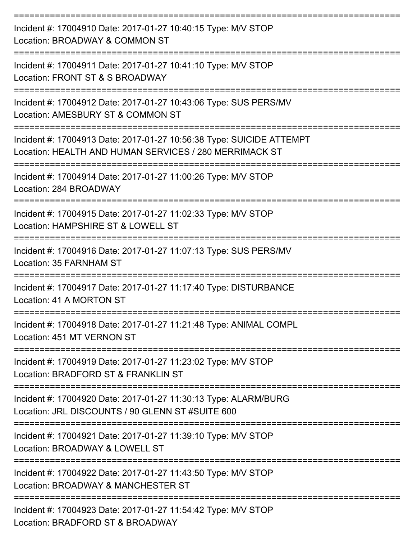| Incident #: 17004910 Date: 2017-01-27 10:40:15 Type: M/V STOP<br>Location: BROADWAY & COMMON ST<br>============================= |
|----------------------------------------------------------------------------------------------------------------------------------|
| Incident #: 17004911 Date: 2017-01-27 10:41:10 Type: M/V STOP<br>Location: FRONT ST & S BROADWAY                                 |
| Incident #: 17004912 Date: 2017-01-27 10:43:06 Type: SUS PERS/MV<br>Location: AMESBURY ST & COMMON ST                            |
| Incident #: 17004913 Date: 2017-01-27 10:56:38 Type: SUICIDE ATTEMPT<br>Location: HEALTH AND HUMAN SERVICES / 280 MERRIMACK ST   |
| Incident #: 17004914 Date: 2017-01-27 11:00:26 Type: M/V STOP<br>Location: 284 BROADWAY                                          |
| Incident #: 17004915 Date: 2017-01-27 11:02:33 Type: M/V STOP<br>Location: HAMPSHIRE ST & LOWELL ST                              |
| Incident #: 17004916 Date: 2017-01-27 11:07:13 Type: SUS PERS/MV<br>Location: 35 FARNHAM ST                                      |
| Incident #: 17004917 Date: 2017-01-27 11:17:40 Type: DISTURBANCE<br>Location: 41 A MORTON ST                                     |
| Incident #: 17004918 Date: 2017-01-27 11:21:48 Type: ANIMAL COMPL<br>Location: 451 MT VERNON ST                                  |
| Incident #: 17004919 Date: 2017-01-27 11:23:02 Type: M/V STOP<br>Location: BRADFORD ST & FRANKLIN ST                             |
| Incident #: 17004920 Date: 2017-01-27 11:30:13 Type: ALARM/BURG<br>Location: JRL DISCOUNTS / 90 GLENN ST #SUITE 600              |
| Incident #: 17004921 Date: 2017-01-27 11:39:10 Type: M/V STOP<br>Location: BROADWAY & LOWELL ST                                  |
| Incident #: 17004922 Date: 2017-01-27 11:43:50 Type: M/V STOP<br>Location: BROADWAY & MANCHESTER ST                              |
| Incident #: 17004923 Date: 2017-01-27 11:54:42 Type: M/V STOP<br>Location: BRADFORD ST & BROADWAY                                |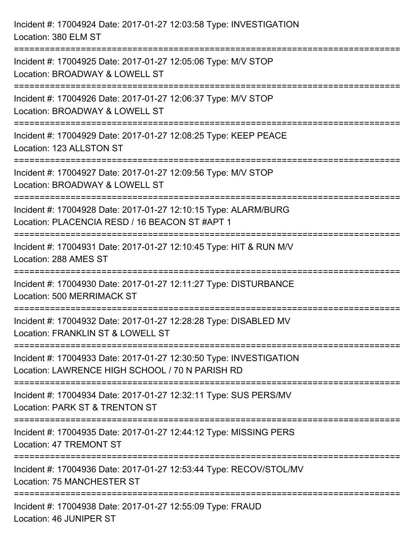| Incident #: 17004924 Date: 2017-01-27 12:03:58 Type: INVESTIGATION<br>Location: 380 ELM ST                                                                      |
|-----------------------------------------------------------------------------------------------------------------------------------------------------------------|
| =================================<br>Incident #: 17004925 Date: 2017-01-27 12:05:06 Type: M/V STOP<br>Location: BROADWAY & LOWELL ST<br>----------------------- |
| Incident #: 17004926 Date: 2017-01-27 12:06:37 Type: M/V STOP<br>Location: BROADWAY & LOWELL ST                                                                 |
| Incident #: 17004929 Date: 2017-01-27 12:08:25 Type: KEEP PEACE<br>Location: 123 ALLSTON ST                                                                     |
| Incident #: 17004927 Date: 2017-01-27 12:09:56 Type: M/V STOP<br>Location: BROADWAY & LOWELL ST                                                                 |
| Incident #: 17004928 Date: 2017-01-27 12:10:15 Type: ALARM/BURG<br>Location: PLACENCIA RESD / 16 BEACON ST #APT 1                                               |
| :==========================<br>------------------------------<br>Incident #: 17004931 Date: 2017-01-27 12:10:45 Type: HIT & RUN M/V<br>Location: 288 AMES ST    |
| Incident #: 17004930 Date: 2017-01-27 12:11:27 Type: DISTURBANCE<br><b>Location: 500 MERRIMACK ST</b>                                                           |
| Incident #: 17004932 Date: 2017-01-27 12:28:28 Type: DISABLED MV<br>Location: FRANKLIN ST & LOWELL ST                                                           |
| Incident #: 17004933 Date: 2017-01-27 12:30:50 Type: INVESTIGATION<br>Location: LAWRENCE HIGH SCHOOL / 70 N PARISH RD                                           |
| Incident #: 17004934 Date: 2017-01-27 12:32:11 Type: SUS PERS/MV<br>Location: PARK ST & TRENTON ST                                                              |
| Incident #: 17004935 Date: 2017-01-27 12:44:12 Type: MISSING PERS<br>Location: 47 TREMONT ST                                                                    |
| Incident #: 17004936 Date: 2017-01-27 12:53:44 Type: RECOV/STOL/MV<br>Location: 75 MANCHESTER ST                                                                |
| Incident #: 17004938 Date: 2017-01-27 12:55:09 Type: FRAUD<br>Location: 46 JUNIPER ST                                                                           |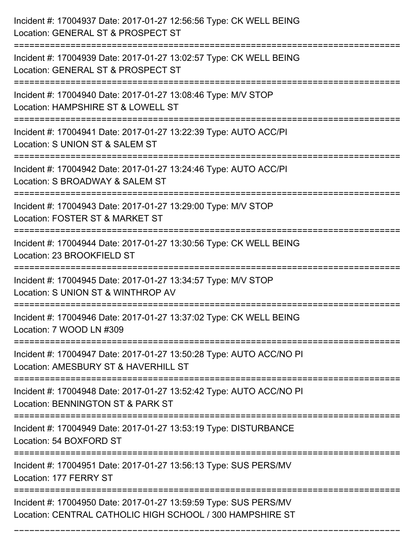| Incident #: 17004937 Date: 2017-01-27 12:56:56 Type: CK WELL BEING<br>Location: GENERAL ST & PROSPECT ST                      |
|-------------------------------------------------------------------------------------------------------------------------------|
| Incident #: 17004939 Date: 2017-01-27 13:02:57 Type: CK WELL BEING<br>Location: GENERAL ST & PROSPECT ST                      |
| Incident #: 17004940 Date: 2017-01-27 13:08:46 Type: M/V STOP<br>Location: HAMPSHIRE ST & LOWELL ST<br>----------------       |
| Incident #: 17004941 Date: 2017-01-27 13:22:39 Type: AUTO ACC/PI<br>Location: S UNION ST & SALEM ST                           |
| Incident #: 17004942 Date: 2017-01-27 13:24:46 Type: AUTO ACC/PI<br>Location: S BROADWAY & SALEM ST<br>==============         |
| Incident #: 17004943 Date: 2017-01-27 13:29:00 Type: M/V STOP<br>Location: FOSTER ST & MARKET ST                              |
| Incident #: 17004944 Date: 2017-01-27 13:30:56 Type: CK WELL BEING<br>Location: 23 BROOKFIELD ST                              |
| Incident #: 17004945 Date: 2017-01-27 13:34:57 Type: M/V STOP<br>Location: S UNION ST & WINTHROP AV                           |
| Incident #: 17004946 Date: 2017-01-27 13:37:02 Type: CK WELL BEING<br>Location: 7 WOOD LN #309                                |
| Incident #: 17004947 Date: 2017-01-27 13:50:28 Type: AUTO ACC/NO PI<br>Location: AMESBURY ST & HAVERHILL ST                   |
| Incident #: 17004948 Date: 2017-01-27 13:52:42 Type: AUTO ACC/NO PI<br>Location: BENNINGTON ST & PARK ST                      |
| Incident #: 17004949 Date: 2017-01-27 13:53:19 Type: DISTURBANCE<br>Location: 54 BOXFORD ST                                   |
| Incident #: 17004951 Date: 2017-01-27 13:56:13 Type: SUS PERS/MV<br>Location: 177 FERRY ST                                    |
| Incident #: 17004950 Date: 2017-01-27 13:59:59 Type: SUS PERS/MV<br>Location: CENTRAL CATHOLIC HIGH SCHOOL / 300 HAMPSHIRE ST |

===========================================================================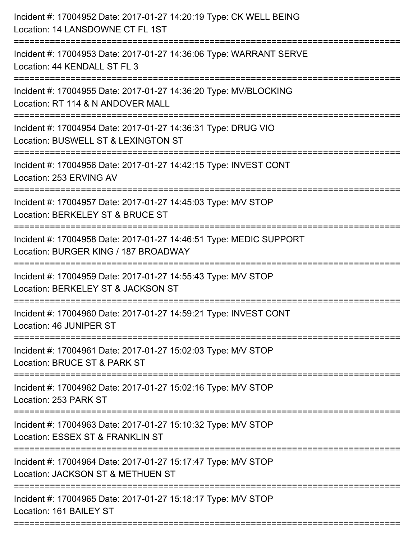| Incident #: 17004952 Date: 2017-01-27 14:20:19 Type: CK WELL BEING<br>Location: 14 LANSDOWNE CT FL 1ST     |
|------------------------------------------------------------------------------------------------------------|
| Incident #: 17004953 Date: 2017-01-27 14:36:06 Type: WARRANT SERVE<br>Location: 44 KENDALL ST FL 3         |
| Incident #: 17004955 Date: 2017-01-27 14:36:20 Type: MV/BLOCKING<br>Location: RT 114 & N ANDOVER MALL      |
| Incident #: 17004954 Date: 2017-01-27 14:36:31 Type: DRUG VIO<br>Location: BUSWELL ST & LEXINGTON ST       |
| Incident #: 17004956 Date: 2017-01-27 14:42:15 Type: INVEST CONT<br>Location: 253 ERVING AV                |
| Incident #: 17004957 Date: 2017-01-27 14:45:03 Type: M/V STOP<br>Location: BERKELEY ST & BRUCE ST          |
| Incident #: 17004958 Date: 2017-01-27 14:46:51 Type: MEDIC SUPPORT<br>Location: BURGER KING / 187 BROADWAY |
| Incident #: 17004959 Date: 2017-01-27 14:55:43 Type: M/V STOP<br>Location: BERKELEY ST & JACKSON ST        |
| Incident #: 17004960 Date: 2017-01-27 14:59:21 Type: INVEST CONT<br>Location: 46 JUNIPER ST                |
| Incident #: 17004961 Date: 2017-01-27 15:02:03 Type: M/V STOP<br>Location: BRUCE ST & PARK ST              |
| Incident #: 17004962 Date: 2017-01-27 15:02:16 Type: M/V STOP<br>Location: 253 PARK ST                     |
| Incident #: 17004963 Date: 2017-01-27 15:10:32 Type: M/V STOP<br>Location: ESSEX ST & FRANKLIN ST          |
| Incident #: 17004964 Date: 2017-01-27 15:17:47 Type: M/V STOP<br>Location: JACKSON ST & METHUEN ST         |
| Incident #: 17004965 Date: 2017-01-27 15:18:17 Type: M/V STOP<br>Location: 161 BAILEY ST                   |
|                                                                                                            |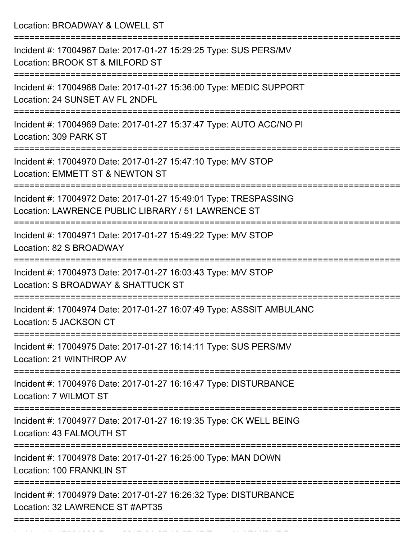Location: BROADWAY & LOWELL ST =========================================================================== Incident #: 17004967 Date: 2017-01-27 15:29:25 Type: SUS PERS/MV Location: BROOK ST & MILFORD ST =========================================================================== Incident #: 17004968 Date: 2017-01-27 15:36:00 Type: MEDIC SUPPORT Location: 24 SUNSET AV FL 2NDFL =========================================================================== Incident #: 17004969 Date: 2017-01-27 15:37:47 Type: AUTO ACC/NO PI Location: 309 PARK ST =========================================================================== Incident #: 17004970 Date: 2017-01-27 15:47:10 Type: M/V STOP Location: EMMETT ST & NEWTON ST =========================================================================== Incident #: 17004972 Date: 2017-01-27 15:49:01 Type: TRESPASSING Location: LAWRENCE PUBLIC LIBRARY / 51 LAWRENCE ST =========================================================================== Incident #: 17004971 Date: 2017-01-27 15:49:22 Type: M/V STOP Location: 82 S BROADWAY =========================================================================== Incident #: 17004973 Date: 2017-01-27 16:03:43 Type: M/V STOP Location: S BROADWAY & SHATTUCK ST =========================================================================== Incident #: 17004974 Date: 2017-01-27 16:07:49 Type: ASSSIT AMBULANC Location: 5 JACKSON CT =========================================================================== Incident #: 17004975 Date: 2017-01-27 16:14:11 Type: SUS PERS/MV Location: 21 WINTHROP AV =========================================================================== Incident #: 17004976 Date: 2017-01-27 16:16:47 Type: DISTURBANCE Location: 7 WILMOT ST =========================================================================== Incident #: 17004977 Date: 2017-01-27 16:19:35 Type: CK WELL BEING Location: 43 FALMOUTH ST =========================================================================== Incident #: 17004978 Date: 2017-01-27 16:25:00 Type: MAN DOWN Location: 100 FRANKLIN ST =========================================================================== Incident #: 17004979 Date: 2017-01-27 16:26:32 Type: DISTURBANCE Location: 32 LAWRENCE ST #APT35 ===========================================================================

Incident #: 17004980 Date: 2017 01 27 16:37:47 Type: 2017 01 27 16:37:47 Type: 2017 On 27 16:37:47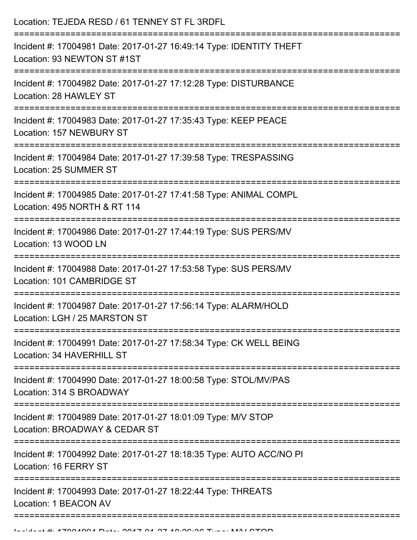| Location: TEJEDA RESD / 61 TENNEY ST FL 3RDFL                                                                    |
|------------------------------------------------------------------------------------------------------------------|
| Incident #: 17004981 Date: 2017-01-27 16:49:14 Type: IDENTITY THEFT<br>Location: 93 NEWTON ST #1ST               |
| Incident #: 17004982 Date: 2017-01-27 17:12:28 Type: DISTURBANCE<br>Location: 28 HAWLEY ST                       |
| Incident #: 17004983 Date: 2017-01-27 17:35:43 Type: KEEP PEACE<br>Location: 157 NEWBURY ST                      |
| Incident #: 17004984 Date: 2017-01-27 17:39:58 Type: TRESPASSING<br>Location: 25 SUMMER ST                       |
| Incident #: 17004985 Date: 2017-01-27 17:41:58 Type: ANIMAL COMPL<br>Location: 495 NORTH & RT 114                |
| Incident #: 17004986 Date: 2017-01-27 17:44:19 Type: SUS PERS/MV<br>Location: 13 WOOD LN<br>-------------------- |
| Incident #: 17004988 Date: 2017-01-27 17:53:58 Type: SUS PERS/MV<br>Location: 101 CAMBRIDGE ST                   |
| Incident #: 17004987 Date: 2017-01-27 17:56:14 Type: ALARM/HOLD<br>Location: LGH / 25 MARSTON ST                 |
| Incident #: 17004991 Date: 2017-01-27 17:58:34 Type: CK WELL BEING<br>Location: 34 HAVERHILL ST                  |
| Incident #: 17004990 Date: 2017-01-27 18:00:58 Type: STOL/MV/PAS<br>Location: 314 S BROADWAY                     |
| Incident #: 17004989 Date: 2017-01-27 18:01:09 Type: M/V STOP<br>Location: BROADWAY & CEDAR ST                   |
| Incident #: 17004992 Date: 2017-01-27 18:18:35 Type: AUTO ACC/NO PI<br>Location: 16 FERRY ST                     |
| Incident #: 17004993 Date: 2017-01-27 18:22:44 Type: THREATS<br>Location: 1 BEACON AV                            |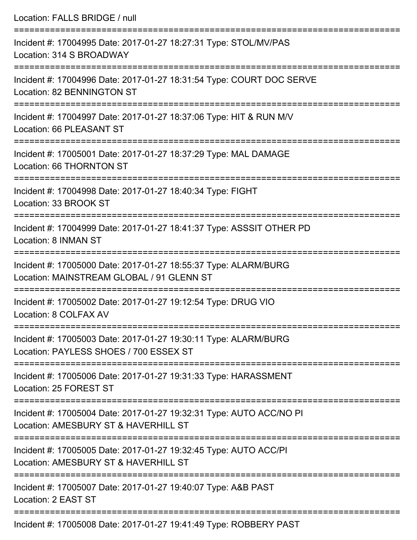| Location: FALLS BRIDGE / null                                                                                                                                               |
|-----------------------------------------------------------------------------------------------------------------------------------------------------------------------------|
| Incident #: 17004995 Date: 2017-01-27 18:27:31 Type: STOL/MV/PAS<br>Location: 314 S BROADWAY<br>======================================                                      |
| Incident #: 17004996 Date: 2017-01-27 18:31:54 Type: COURT DOC SERVE<br>Location: 82 BENNINGTON ST                                                                          |
| Incident #: 17004997 Date: 2017-01-27 18:37:06 Type: HIT & RUN M/V<br>Location: 66 PLEASANT ST<br>=====================================<br>-------------------------------- |
| Incident #: 17005001 Date: 2017-01-27 18:37:29 Type: MAL DAMAGE<br>Location: 66 THORNTON ST                                                                                 |
| Incident #: 17004998 Date: 2017-01-27 18:40:34 Type: FIGHT<br>Location: 33 BROOK ST                                                                                         |
| Incident #: 17004999 Date: 2017-01-27 18:41:37 Type: ASSSIT OTHER PD<br>Location: 8 INMAN ST                                                                                |
| Incident #: 17005000 Date: 2017-01-27 18:55:37 Type: ALARM/BURG<br>Location: MAINSTREAM GLOBAL / 91 GLENN ST                                                                |
| Incident #: 17005002 Date: 2017-01-27 19:12:54 Type: DRUG VIO<br>Location: 8 COLFAX AV                                                                                      |
| Incident #: 17005003 Date: 2017-01-27 19:30:11 Type: ALARM/BURG<br>Location: PAYLESS SHOES / 700 ESSEX ST                                                                   |
| Incident #: 17005006 Date: 2017-01-27 19:31:33 Type: HARASSMENT<br>Location: 25 FOREST ST                                                                                   |
| Incident #: 17005004 Date: 2017-01-27 19:32:31 Type: AUTO ACC/NO PI<br>Location: AMESBURY ST & HAVERHILL ST                                                                 |
| Incident #: 17005005 Date: 2017-01-27 19:32:45 Type: AUTO ACC/PI<br>Location: AMESBURY ST & HAVERHILL ST                                                                    |
| Incident #: 17005007 Date: 2017-01-27 19:40:07 Type: A&B PAST<br>Location: 2 EAST ST                                                                                        |
| $\epsilon$ ident 4. 17005000 Dete: 2017.01.27.10:11:10 Ture: DODDEDV DACT                                                                                                   |

Incident #: 17005008 Date: 2017-01-27 19:41:49 Type: ROBBERY PAST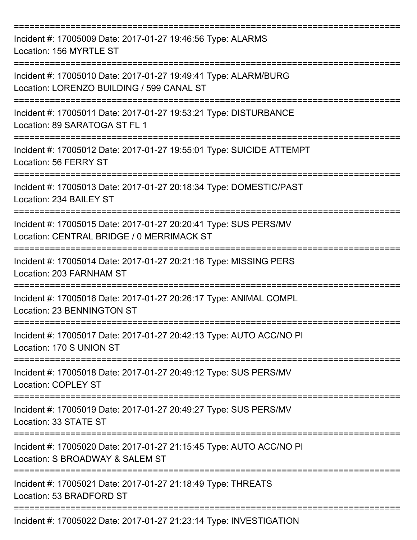| Incident #: 17005009 Date: 2017-01-27 19:46:56 Type: ALARMS<br>Location: 156 MYRTLE ST<br>------------------------------ |
|--------------------------------------------------------------------------------------------------------------------------|
| Incident #: 17005010 Date: 2017-01-27 19:49:41 Type: ALARM/BURG<br>Location: LORENZO BUILDING / 599 CANAL ST             |
| Incident #: 17005011 Date: 2017-01-27 19:53:21 Type: DISTURBANCE<br>Location: 89 SARATOGA ST FL 1                        |
| Incident #: 17005012 Date: 2017-01-27 19:55:01 Type: SUICIDE ATTEMPT<br>Location: 56 FERRY ST                            |
| Incident #: 17005013 Date: 2017-01-27 20:18:34 Type: DOMESTIC/PAST<br>Location: 234 BAILEY ST                            |
| Incident #: 17005015 Date: 2017-01-27 20:20:41 Type: SUS PERS/MV<br>Location: CENTRAL BRIDGE / 0 MERRIMACK ST            |
| Incident #: 17005014 Date: 2017-01-27 20:21:16 Type: MISSING PERS<br>Location: 203 FARNHAM ST                            |
| Incident #: 17005016 Date: 2017-01-27 20:26:17 Type: ANIMAL COMPL<br><b>Location: 23 BENNINGTON ST</b>                   |
| Incident #: 17005017 Date: 2017-01-27 20:42:13 Type: AUTO ACC/NO PI<br>Location: 170 S UNION ST                          |
| Incident #: 17005018 Date: 2017-01-27 20:49:12 Type: SUS PERS/MV<br><b>Location: COPLEY ST</b>                           |
| Incident #: 17005019 Date: 2017-01-27 20:49:27 Type: SUS PERS/MV<br>Location: 33 STATE ST                                |
| Incident #: 17005020 Date: 2017-01-27 21:15:45 Type: AUTO ACC/NO PI<br>Location: S BROADWAY & SALEM ST                   |
| Incident #: 17005021 Date: 2017-01-27 21:18:49 Type: THREATS<br>Location: 53 BRADFORD ST                                 |
| Incident #: 17005022 Date: 2017-01-27 21:23:14 Type: INVESTIGATION                                                       |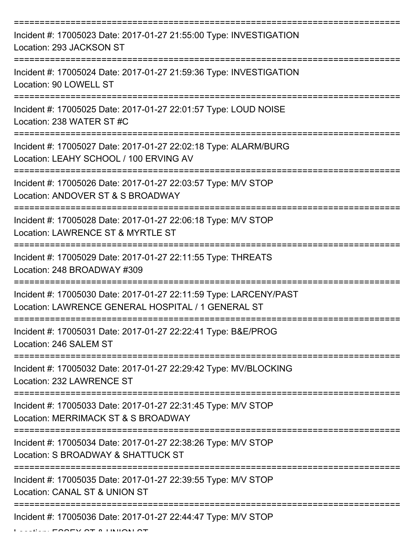| Incident #: 17005023 Date: 2017-01-27 21:55:00 Type: INVESTIGATION<br>Location: 293 JACKSON ST                          |
|-------------------------------------------------------------------------------------------------------------------------|
| Incident #: 17005024 Date: 2017-01-27 21:59:36 Type: INVESTIGATION<br>Location: 90 LOWELL ST                            |
| Incident #: 17005025 Date: 2017-01-27 22:01:57 Type: LOUD NOISE<br>Location: 238 WATER ST #C                            |
| Incident #: 17005027 Date: 2017-01-27 22:02:18 Type: ALARM/BURG<br>Location: LEAHY SCHOOL / 100 ERVING AV               |
| Incident #: 17005026 Date: 2017-01-27 22:03:57 Type: M/V STOP<br>Location: ANDOVER ST & S BROADWAY                      |
| Incident #: 17005028 Date: 2017-01-27 22:06:18 Type: M/V STOP<br>Location: LAWRENCE ST & MYRTLE ST                      |
| Incident #: 17005029 Date: 2017-01-27 22:11:55 Type: THREATS<br>Location: 248 BROADWAY #309                             |
| Incident #: 17005030 Date: 2017-01-27 22:11:59 Type: LARCENY/PAST<br>Location: LAWRENCE GENERAL HOSPITAL / 1 GENERAL ST |
| Incident #: 17005031 Date: 2017-01-27 22:22:41 Type: B&E/PROG<br>Location: 246 SALEM ST                                 |
| Incident #: 17005032 Date: 2017-01-27 22:29:42 Type: MV/BLOCKING<br>Location: 232 LAWRENCE ST                           |
| Incident #: 17005033 Date: 2017-01-27 22:31:45 Type: M/V STOP<br>Location: MERRIMACK ST & S BROADWAY                    |
| Incident #: 17005034 Date: 2017-01-27 22:38:26 Type: M/V STOP<br>Location: S BROADWAY & SHATTUCK ST                     |
| Incident #: 17005035 Date: 2017-01-27 22:39:55 Type: M/V STOP<br>Location: CANAL ST & UNION ST                          |
| Incident #: 17005036 Date: 2017-01-27 22:44:47 Type: M/V STOP                                                           |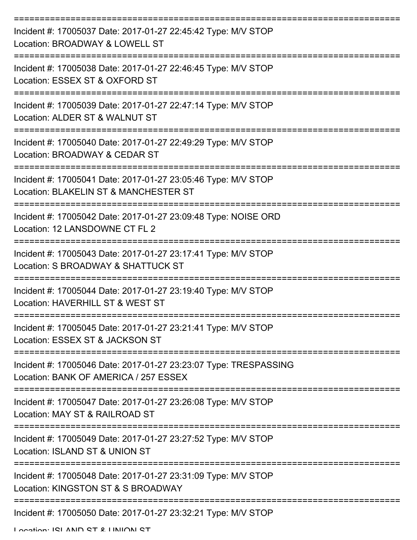| Incident #: 17005037 Date: 2017-01-27 22:45:42 Type: M/V STOP<br>Location: BROADWAY & LOWELL ST           |
|-----------------------------------------------------------------------------------------------------------|
| Incident #: 17005038 Date: 2017-01-27 22:46:45 Type: M/V STOP<br>Location: ESSEX ST & OXFORD ST           |
| Incident #: 17005039 Date: 2017-01-27 22:47:14 Type: M/V STOP<br>Location: ALDER ST & WALNUT ST           |
| Incident #: 17005040 Date: 2017-01-27 22:49:29 Type: M/V STOP<br>Location: BROADWAY & CEDAR ST            |
| Incident #: 17005041 Date: 2017-01-27 23:05:46 Type: M/V STOP<br>Location: BLAKELIN ST & MANCHESTER ST    |
| Incident #: 17005042 Date: 2017-01-27 23:09:48 Type: NOISE ORD<br>Location: 12 LANSDOWNE CT FL 2          |
| Incident #: 17005043 Date: 2017-01-27 23:17:41 Type: M/V STOP<br>Location: S BROADWAY & SHATTUCK ST       |
| Incident #: 17005044 Date: 2017-01-27 23:19:40 Type: M/V STOP<br>Location: HAVERHILL ST & WEST ST         |
| Incident #: 17005045 Date: 2017-01-27 23:21:41 Type: M/V STOP<br>Location: ESSEX ST & JACKSON ST          |
| Incident #: 17005046 Date: 2017-01-27 23:23:07 Type: TRESPASSING<br>Location: BANK OF AMERICA / 257 ESSEX |
| Incident #: 17005047 Date: 2017-01-27 23:26:08 Type: M/V STOP<br>Location: MAY ST & RAILROAD ST           |
| Incident #: 17005049 Date: 2017-01-27 23:27:52 Type: M/V STOP<br>Location: ISLAND ST & UNION ST           |
| Incident #: 17005048 Date: 2017-01-27 23:31:09 Type: M/V STOP<br>Location: KINGSTON ST & S BROADWAY       |
| Incident #: 17005050 Date: 2017-01-27 23:32:21 Type: M/V STOP                                             |

Location: ICLAND CT & LINIMN CT